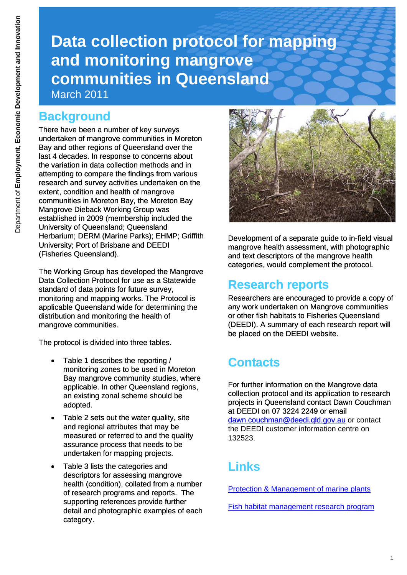# **Data collection protocol for mapping and monitoring mangrove communities in Queensland**  March 2011

#### **Background**

There have been a number of key surveys undertaken of mangrove communities in Moreton Bay and other regions of Queensland over the last 4 decades. In response to concerns about the variation in data collection methods and in attempting to compare the findings from various research and survey activities undertaken on the extent, condition and health of mangrove communities in Moreton Bay, the Moreton Bay Mangrove Dieback Working Group was established in 2009 (membership included the University of Queensland; Queensland Herbarium: DERM (Marine Parks): EHMP: Griffith University; Port of Brisbane and DEEDI (Fisheries Queensland).

The Working Group has developed the Mangrove Data Collection Protocol for use as a Statewide standard of data points for future survey. monitoring and mapping works. The Protocol is applicable Queensland wide for determining the distribution and monitoring the health of mangrove communities.

The protocol is divided into three tables.

- Table 1 describes the reporting / monitoring zones to be used in Moreton Bay mangrove community studies, where applicable. In other Queensland regions, an existing zonal scheme should be adopted.
- Table 2 sets out the water quality, site and regional attributes that may be measured or referred to and the quality assurance process that needs to be undertaken for mapping projects.
- Table 3 lists the categories and descriptors for assessing mangrove health (condition), collated from a number of research programs and reports. The supporting references provide further detail and photographic examples of each category.



Development of a separate guide to in-field visual mangrove health assessment, with photographic and text descriptors of the mangrove health categories, would complement the protocol.

#### **Research reports**

Researchers are encouraged to provide a copy of any work undertaken on Mangrove communities or other fish habitats to Fisheries Queensland (DEEDI). A summary of each research report will be placed on the DEEDI website.

## **Contacts**

[For further information on the Mangrove data](mailto:dawn.couchman@deedi.qld.gov.au)  collection protocol and its application to research projects in Queensland contact Dawn Couchman at DEEDI on 07 3224 2249 or email [dawn.couchman@deedi.qld.gov.au](mailto:dawn.couchman@deedi.qld.gov.au) or contact [the DEEDI customer information centre on](mailto:dawn.couchman@deedi.qld.gov.au)  [132523.](mailto:dawn.couchman@deedi.qld.gov.au) 

#### **Links**

[Protection & Management of marine plants](http://www.dpi.qld.gov.au/28_9125.htm)

[Fish habitat management research program](http://www.dpi.qld.gov.au/28_9206.htm)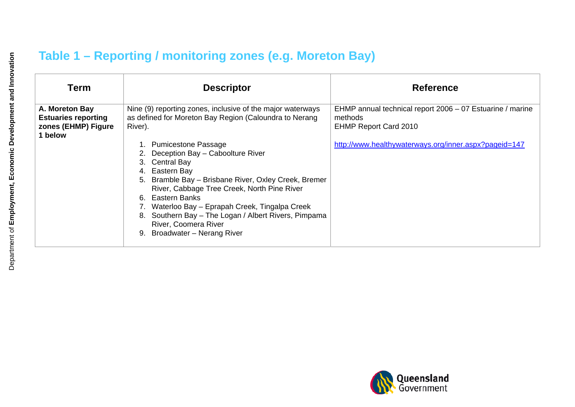### **Table 1 – Reporting / monitoring zones (e.g. Moreton Bay)**

| <b>Term</b>                                                                    | <b>Descriptor</b>                                                                                                                                                                                                                                                                                                                                                                                | <b>Reference</b>                                                                                     |
|--------------------------------------------------------------------------------|--------------------------------------------------------------------------------------------------------------------------------------------------------------------------------------------------------------------------------------------------------------------------------------------------------------------------------------------------------------------------------------------------|------------------------------------------------------------------------------------------------------|
| A. Moreton Bay<br><b>Estuaries reporting</b><br>zones (EHMP) Figure<br>1 below | Nine (9) reporting zones, inclusive of the major waterways<br>as defined for Moreton Bay Region (Caloundra to Nerang<br>River).                                                                                                                                                                                                                                                                  | EHMP annual technical report 2006 - 07 Estuarine / marine<br>methods<br><b>EHMP Report Card 2010</b> |
|                                                                                | <b>Pumicestone Passage</b><br>Deception Bay - Caboolture River<br>3. Central Bay<br>4. Eastern Bay<br>5. Bramble Bay - Brisbane River, Oxley Creek, Bremer<br>River, Cabbage Tree Creek, North Pine River<br>6. Eastern Banks<br>Waterloo Bay – Eprapah Creek, Tingalpa Creek<br>8. Southern Bay - The Logan / Albert Rivers, Pimpama<br>River, Coomera River<br>Broadwater - Nerang River<br>9. | http://www.healthywaterways.org/inner.aspx?pageid=147                                                |

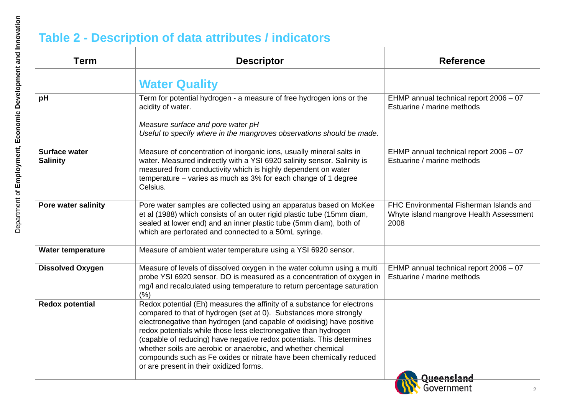#### **Table 2 - Description of data attributes / indicators**

| <b>Term</b>                             | <b>Descriptor</b>                                                                                                                                                                                                                                                                                                                                                                                                                                                                                                                                    | <b>Reference</b>                                                                           |
|-----------------------------------------|------------------------------------------------------------------------------------------------------------------------------------------------------------------------------------------------------------------------------------------------------------------------------------------------------------------------------------------------------------------------------------------------------------------------------------------------------------------------------------------------------------------------------------------------------|--------------------------------------------------------------------------------------------|
|                                         | <b>Water Quality</b>                                                                                                                                                                                                                                                                                                                                                                                                                                                                                                                                 |                                                                                            |
| pH                                      | Term for potential hydrogen - a measure of free hydrogen ions or the<br>acidity of water.                                                                                                                                                                                                                                                                                                                                                                                                                                                            | EHMP annual technical report 2006 - 07<br>Estuarine / marine methods                       |
|                                         | Measure surface and pore water pH<br>Useful to specify where in the mangroves observations should be made.                                                                                                                                                                                                                                                                                                                                                                                                                                           |                                                                                            |
| <b>Surface water</b><br><b>Salinity</b> | Measure of concentration of inorganic ions, usually mineral salts in<br>water. Measured indirectly with a YSI 6920 salinity sensor. Salinity is<br>measured from conductivity which is highly dependent on water<br>temperature – varies as much as 3% for each change of 1 degree<br>Celsius.                                                                                                                                                                                                                                                       | EHMP annual technical report 2006 - 07<br>Estuarine / marine methods                       |
| Pore water salinity                     | Pore water samples are collected using an apparatus based on McKee<br>et al (1988) which consists of an outer rigid plastic tube (15mm diam,<br>sealed at lower end) and an inner plastic tube (5mm diam), both of<br>which are perforated and connected to a 50mL syringe.                                                                                                                                                                                                                                                                          | FHC Environmental Fisherman Islands and<br>Whyte island mangrove Health Assessment<br>2008 |
| <b>Water temperature</b>                | Measure of ambient water temperature using a YSI 6920 sensor.                                                                                                                                                                                                                                                                                                                                                                                                                                                                                        |                                                                                            |
| <b>Dissolved Oxygen</b>                 | Measure of levels of dissolved oxygen in the water column using a multi<br>probe YSI 6920 sensor. DO is measured as a concentration of oxygen in<br>mg/l and recalculated using temperature to return percentage saturation<br>(%)                                                                                                                                                                                                                                                                                                                   | EHMP annual technical report 2006 - 07<br>Estuarine / marine methods                       |
| <b>Redox potential</b>                  | Redox potential (Eh) measures the affinity of a substance for electrons<br>compared to that of hydrogen (set at 0). Substances more strongly<br>electronegative than hydrogen (and capable of oxidising) have positive<br>redox potentials while those less electronegative than hydrogen<br>(capable of reducing) have negative redox potentials. This determines<br>whether soils are aerobic or anaerobic, and whether chemical<br>compounds such as Fe oxides or nitrate have been chemically reduced<br>or are present in their oxidized forms. |                                                                                            |
|                                         |                                                                                                                                                                                                                                                                                                                                                                                                                                                                                                                                                      | <u>)ueensland</u><br>Government                                                            |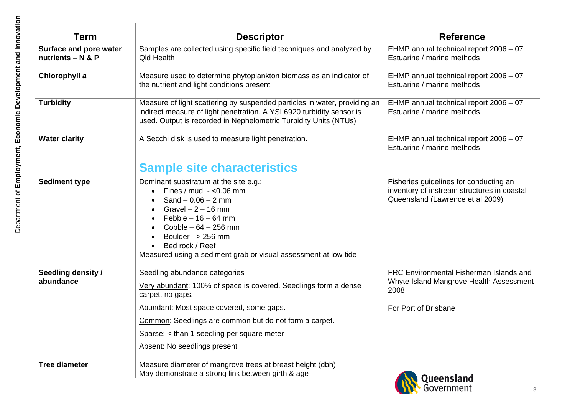| Term                                               | <b>Descriptor</b>                                                                                                                                                                                                                                                                                                     | <b>Reference</b>                                                                                                          |
|----------------------------------------------------|-----------------------------------------------------------------------------------------------------------------------------------------------------------------------------------------------------------------------------------------------------------------------------------------------------------------------|---------------------------------------------------------------------------------------------------------------------------|
| <b>Surface and pore water</b><br>nutrients - N & P | Samples are collected using specific field techniques and analyzed by<br><b>Qld Health</b>                                                                                                                                                                                                                            | EHMP annual technical report 2006 - 07<br>Estuarine / marine methods                                                      |
| Chlorophyll a                                      | Measure used to determine phytoplankton biomass as an indicator of<br>the nutrient and light conditions present                                                                                                                                                                                                       | EHMP annual technical report 2006 - 07<br>Estuarine / marine methods                                                      |
| <b>Turbidity</b>                                   | Measure of light scattering by suspended particles in water, providing an<br>indirect measure of light penetration. A YSI 6920 turbidity sensor is<br>used. Output is recorded in Nephelometric Turbidity Units (NTUs)                                                                                                | EHMP annual technical report 2006 - 07<br>Estuarine / marine methods                                                      |
| <b>Water clarity</b>                               | A Secchi disk is used to measure light penetration.                                                                                                                                                                                                                                                                   | EHMP annual technical report 2006 - 07<br>Estuarine / marine methods                                                      |
|                                                    | <b>Sample site characteristics</b>                                                                                                                                                                                                                                                                                    |                                                                                                                           |
| <b>Sediment type</b>                               | Dominant substratum at the site e.g.:<br>Fines / $mud - <0.06$ mm<br>Sand $-0.06 - 2$ mm<br>Gravel $-2 - 16$ mm<br>$\bullet$<br>Pebble $-16 - 64$ mm<br>$\bullet$<br>Cobble $-64 - 256$ mm<br>$\bullet$<br>Boulder - $> 256$ mm<br>Bed rock / Reef<br>Measured using a sediment grab or visual assessment at low tide | Fisheries guidelines for conducting an<br>inventory of instream structures in coastal<br>Queensland (Lawrence et al 2009) |
| Seedling density /<br>abundance                    | Seedling abundance categories<br>Very abundant: 100% of space is covered. Seedlings form a dense<br>carpet, no gaps.                                                                                                                                                                                                  | FRC Environmental Fisherman Islands and<br>Whyte Island Mangrove Health Assessment<br>2008                                |
|                                                    | Abundant: Most space covered, some gaps.<br>Common: Seedlings are common but do not form a carpet.                                                                                                                                                                                                                    | For Port of Brisbane                                                                                                      |
|                                                    | Sparse: $\lt$ than 1 seedling per square meter                                                                                                                                                                                                                                                                        |                                                                                                                           |
|                                                    | Absent: No seedlings present                                                                                                                                                                                                                                                                                          |                                                                                                                           |
| <b>Tree diameter</b>                               | Measure diameter of mangrove trees at breast height (dbh)<br>May demonstrate a strong link between girth & age                                                                                                                                                                                                        | Queensland                                                                                                                |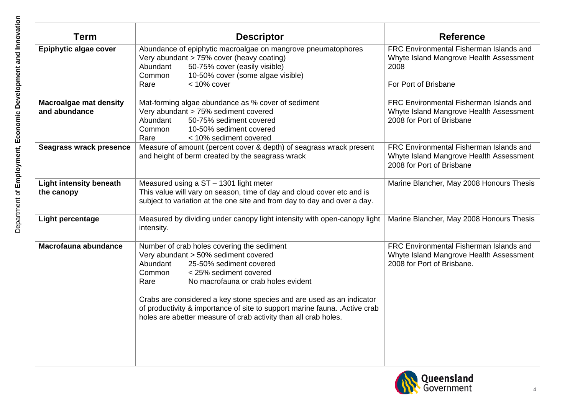| <b>Descriptor</b>                                                                                                                                                                                                                                                                                                                                                    | <b>Reference</b>                                                                                                   |
|----------------------------------------------------------------------------------------------------------------------------------------------------------------------------------------------------------------------------------------------------------------------------------------------------------------------------------------------------------------------|--------------------------------------------------------------------------------------------------------------------|
| Abundance of epiphytic macroalgae on mangrove pneumatophores<br>Very abundant > 75% cover (heavy coating)<br>Abundant<br>50-75% cover (easily visible)<br>Common<br>10-50% cover (some algae visible)                                                                                                                                                                | FRC Environmental Fisherman Islands and<br>Whyte Island Mangrove Health Assessment<br>2008<br>For Port of Brisbane |
|                                                                                                                                                                                                                                                                                                                                                                      |                                                                                                                    |
| Mat-forming algae abundance as % cover of sediment<br>Very abundant > 75% sediment covered<br>Abundant<br>50-75% sediment covered<br>Common<br>10-50% sediment covered                                                                                                                                                                                               | FRC Environmental Fisherman Islands and<br>Whyte Island Mangrove Health Assessment<br>2008 for Port of Brisbane    |
| Measure of amount (percent cover & depth) of seagrass wrack present<br>and height of berm created by the seagrass wrack                                                                                                                                                                                                                                              | FRC Environmental Fisherman Islands and<br>Whyte Island Mangrove Health Assessment<br>2008 for Port of Brisbane    |
| Measured using a ST - 1301 light meter<br>This value will vary on season, time of day and cloud cover etc and is<br>subject to variation at the one site and from day to day and over a day.                                                                                                                                                                         | Marine Blancher, May 2008 Honours Thesis                                                                           |
| Measured by dividing under canopy light intensity with open-canopy light<br>intensity.                                                                                                                                                                                                                                                                               | Marine Blancher, May 2008 Honours Thesis                                                                           |
| Number of crab holes covering the sediment<br>Very abundant > 50% sediment covered<br>25-50% sediment covered<br>Abundant<br>Common<br>< 25% sediment covered<br>No macrofauna or crab holes evident<br>Rare<br>Crabs are considered a key stone species and are used as an indicator<br>of productivity & importance of site to support marine fauna. . Active crab | FRC Environmental Fisherman Islands and<br>Whyte Island Mangrove Health Assessment<br>2008 for Port of Brisbane.   |
|                                                                                                                                                                                                                                                                                                                                                                      | $< 10\%$ cover<br>Rare<br>Rare<br>< 10% sediment covered                                                           |

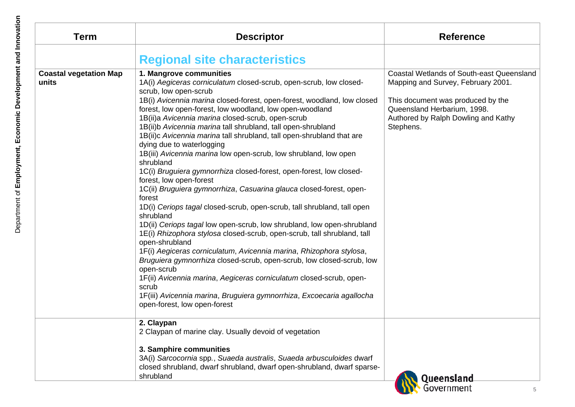| <b>Term</b>                            | <b>Descriptor</b>                                                                                                                                                                                                                                                                                                                                                                                                                                                                                                                                                                                                                                                                                                                                                                                                                                                                                                                                                                                                                                                                                                                                                                                                                                                                                                                                  | <b>Reference</b>                                                                                                                                                                                               |
|----------------------------------------|----------------------------------------------------------------------------------------------------------------------------------------------------------------------------------------------------------------------------------------------------------------------------------------------------------------------------------------------------------------------------------------------------------------------------------------------------------------------------------------------------------------------------------------------------------------------------------------------------------------------------------------------------------------------------------------------------------------------------------------------------------------------------------------------------------------------------------------------------------------------------------------------------------------------------------------------------------------------------------------------------------------------------------------------------------------------------------------------------------------------------------------------------------------------------------------------------------------------------------------------------------------------------------------------------------------------------------------------------|----------------------------------------------------------------------------------------------------------------------------------------------------------------------------------------------------------------|
|                                        | <b>Regional site characteristics</b>                                                                                                                                                                                                                                                                                                                                                                                                                                                                                                                                                                                                                                                                                                                                                                                                                                                                                                                                                                                                                                                                                                                                                                                                                                                                                                               |                                                                                                                                                                                                                |
|                                        |                                                                                                                                                                                                                                                                                                                                                                                                                                                                                                                                                                                                                                                                                                                                                                                                                                                                                                                                                                                                                                                                                                                                                                                                                                                                                                                                                    |                                                                                                                                                                                                                |
| <b>Coastal vegetation Map</b><br>units | 1. Mangrove communities<br>1A(i) Aegiceras corniculatum closed-scrub, open-scrub, low closed-<br>scrub, low open-scrub<br>1B(i) Avicennia marina closed-forest, open-forest, woodland, low closed<br>forest, low open-forest, low woodland, low open-woodland<br>1B(ii)a Avicennia marina closed-scrub, open-scrub<br>1B(ii)b Avicennia marina tall shrubland, tall open-shrubland<br>1B(ii)c Avicennia marina tall shrubland, tall open-shrubland that are<br>dying due to waterlogging<br>1B(iii) Avicennia marina low open-scrub, low shrubland, low open<br>shrubland<br>1C(i) Bruguiera gymnorrhiza closed-forest, open-forest, low closed-<br>forest, low open-forest<br>1C(ii) Bruguiera gymnorrhiza, Casuarina glauca closed-forest, open-<br>forest<br>1D(i) Ceriops tagal closed-scrub, open-scrub, tall shrubland, tall open<br>shrubland<br>1D(ii) Ceriops tagal low open-scrub, low shrubland, low open-shrubland<br>1E(i) Rhizophora stylosa closed-scrub, open-scrub, tall shrubland, tall<br>open-shrubland<br>1F(i) Aegiceras corniculatum, Avicennia marina, Rhizophora stylosa,<br>Bruguiera gymnorrhiza closed-scrub, open-scrub, low closed-scrub, low<br>open-scrub<br>1F(ii) Avicennia marina, Aegiceras corniculatum closed-scrub, open-<br>scrub<br>1F(iii) Avicennia marina, Bruguiera gymnorrhiza, Excoecaria agallocha | <b>Coastal Wetlands of South-east Queensland</b><br>Mapping and Survey, February 2001.<br>This document was produced by the<br>Queensland Herbarium, 1998.<br>Authored by Ralph Dowling and Kathy<br>Stephens. |
|                                        | open-forest, low open-forest<br>2. Claypan<br>2 Claypan of marine clay. Usually devoid of vegetation                                                                                                                                                                                                                                                                                                                                                                                                                                                                                                                                                                                                                                                                                                                                                                                                                                                                                                                                                                                                                                                                                                                                                                                                                                               |                                                                                                                                                                                                                |
|                                        | 3. Samphire communities<br>3A(i) Sarcocornia spp., Suaeda australis, Suaeda arbusculoides dwarf<br>closed shrubland, dwarf shrubland, dwarf open-shrubland, dwarf sparse-<br>shrubland                                                                                                                                                                                                                                                                                                                                                                                                                                                                                                                                                                                                                                                                                                                                                                                                                                                                                                                                                                                                                                                                                                                                                             | Queensland                                                                                                                                                                                                     |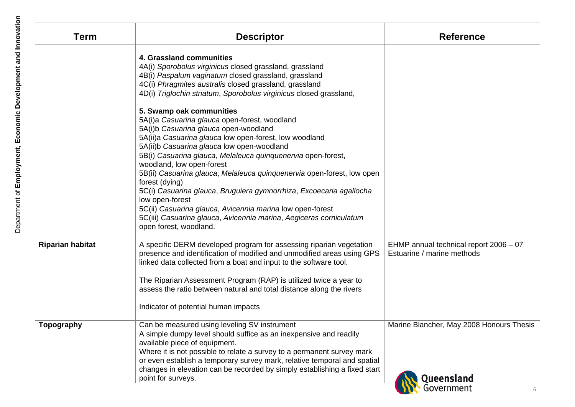| <b>Term</b>             | <b>Descriptor</b>                                                                                                                                                                                                                                                                                                                                                            | <b>Reference</b>                                                     |
|-------------------------|------------------------------------------------------------------------------------------------------------------------------------------------------------------------------------------------------------------------------------------------------------------------------------------------------------------------------------------------------------------------------|----------------------------------------------------------------------|
|                         | 4. Grassland communities<br>4A(i) Sporobolus virginicus closed grassland, grassland<br>4B(i) Paspalum vaginatum closed grassland, grassland<br>4C(i) Phragmites australis closed grassland, grassland<br>4D(i) Triglochin striatum, Sporobolus virginicus closed grassland,                                                                                                  |                                                                      |
|                         | 5. Swamp oak communities<br>5A(i)a Casuarina glauca open-forest, woodland<br>5A(i)b Casuarina glauca open-woodland<br>5A(ii)a Casuarina glauca low open-forest, low woodland<br>5A(ii)b Casuarina glauca low open-woodland<br>5B(i) Casuarina glauca, Melaleuca quinquenervia open-forest,                                                                                   |                                                                      |
|                         | woodland, low open-forest<br>5B(ii) Casuarina glauca, Melaleuca quinquenervia open-forest, low open<br>forest (dying)<br>5C(i) Casuarina glauca, Bruguiera gymnorrhiza, Excoecaria agallocha<br>low open-forest<br>5C(ii) Casuarina glauca, Avicennia marina low open-forest<br>5C(iii) Casuarina glauca, Avicennia marina, Aegiceras corniculatum<br>open forest, woodland. |                                                                      |
| <b>Riparian habitat</b> | A specific DERM developed program for assessing riparian vegetation<br>presence and identification of modified and unmodified areas using GPS<br>linked data collected from a boat and input to the software tool.<br>The Riparian Assessment Program (RAP) is utilized twice a year to<br>assess the ratio between natural and total distance along the rivers              | EHMP annual technical report 2006 - 07<br>Estuarine / marine methods |
|                         | Indicator of potential human impacts                                                                                                                                                                                                                                                                                                                                         |                                                                      |
| Topography              | Can be measured using leveling SV instrument<br>A simple dumpy level should suffice as an inexpensive and readily<br>available piece of equipment.<br>Where it is not possible to relate a survey to a permanent survey mark<br>or even establish a temporary survey mark, relative temporal and spatial                                                                     | Marine Blancher, May 2008 Honours Thesis                             |
|                         | changes in elevation can be recorded by simply establishing a fixed start<br>point for surveys.                                                                                                                                                                                                                                                                              | Queensland                                                           |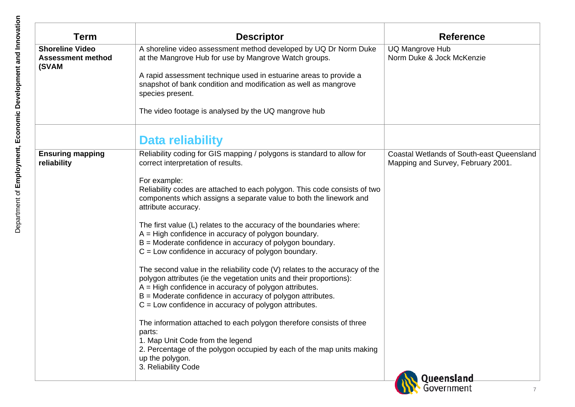| <b>Term</b>                                                 | <b>Descriptor</b>                                                                                                                                                                                                                                                                                                                       | <b>Reference</b>                                                                       |
|-------------------------------------------------------------|-----------------------------------------------------------------------------------------------------------------------------------------------------------------------------------------------------------------------------------------------------------------------------------------------------------------------------------------|----------------------------------------------------------------------------------------|
| <b>Shoreline Video</b><br><b>Assessment method</b><br>(SVAM | A shoreline video assessment method developed by UQ Dr Norm Duke<br>at the Mangrove Hub for use by Mangrove Watch groups.<br>A rapid assessment technique used in estuarine areas to provide a<br>snapshot of bank condition and modification as well as mangrove<br>species present.                                                   | <b>UQ Mangrove Hub</b><br>Norm Duke & Jock McKenzie                                    |
|                                                             | The video footage is analysed by the UQ mangrove hub<br>Data reliability                                                                                                                                                                                                                                                                |                                                                                        |
| <b>Ensuring mapping</b><br>reliability                      | Reliability coding for GIS mapping / polygons is standard to allow for<br>correct interpretation of results.<br>For example:                                                                                                                                                                                                            | <b>Coastal Wetlands of South-east Queensland</b><br>Mapping and Survey, February 2001. |
|                                                             | Reliability codes are attached to each polygon. This code consists of two<br>components which assigns a separate value to both the linework and<br>attribute accuracy.                                                                                                                                                                  |                                                                                        |
|                                                             | The first value (L) relates to the accuracy of the boundaries where:<br>$A = High confidence in accuracy of polygon boundary.$<br>$B =$ Moderate confidence in accuracy of polygon boundary.<br>$C =$ Low confidence in accuracy of polygon boundary.                                                                                   |                                                                                        |
|                                                             | The second value in the reliability code (V) relates to the accuracy of the<br>polygon attributes (ie the vegetation units and their proportions):<br>A = High confidence in accuracy of polygon attributes.<br>$B =$ Moderate confidence in accuracy of polygon attributes.<br>$C =$ Low confidence in accuracy of polygon attributes. |                                                                                        |
|                                                             | The information attached to each polygon therefore consists of three<br>parts:<br>1. Map Unit Code from the legend<br>2. Percentage of the polygon occupied by each of the map units making                                                                                                                                             |                                                                                        |
|                                                             | up the polygon.<br>3. Reliability Code                                                                                                                                                                                                                                                                                                  | Queensland<br>Government                                                               |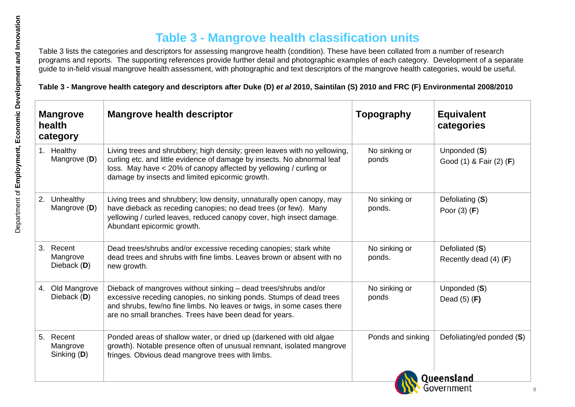|    | <b>Mangrove</b><br>health<br>category | <b>Mangrove health descriptor</b>                                                                                                                                                                                                                                            | <b>Topography</b>       | <b>Equivalent</b><br>categories           |
|----|---------------------------------------|------------------------------------------------------------------------------------------------------------------------------------------------------------------------------------------------------------------------------------------------------------------------------|-------------------------|-------------------------------------------|
|    | 1. Healthy<br>Mangrove (D)            | Living trees and shrubbery; high density; green leaves with no yellowing,<br>curling etc. and little evidence of damage by insects. No abnormal leaf<br>loss. May have < 20% of canopy affected by yellowing / curling or<br>damage by insects and limited epicormic growth. | No sinking or<br>ponds  | Unponded (S)<br>Good (1) & Fair (2) (F)   |
| 2. | Unhealthy<br>Mangrove (D)             | Living trees and shrubbery; low density, unnaturally open canopy, may<br>have dieback as receding canopies; no dead trees (or few). Many<br>yellowing / curled leaves, reduced canopy cover, high insect damage.<br>Abundant epicormic growth.                               | No sinking or<br>ponds. | Defoliating (S)<br>Poor $(3)$ (F)         |
|    | 3. Recent<br>Mangrove<br>Dieback (D)  | Dead trees/shrubs and/or excessive receding canopies; stark white<br>dead trees and shrubs with fine limbs. Leaves brown or absent with no<br>new growth.                                                                                                                    | No sinking or<br>ponds. | Defoliated (S)<br>Recently dead $(4)$ (F) |
|    | 4. Old Mangrove<br>Dieback (D)        | Dieback of mangroves without sinking - dead trees/shrubs and/or<br>excessive receding canopies, no sinking ponds. Stumps of dead trees<br>and shrubs, few/no fine limbs. No leaves or twigs, in some cases there<br>are no small branches. Trees have been dead for years.   | No sinking or<br>ponds  | Unponded (S)<br>Dead $(5)$ (F)            |
|    | 5. Recent<br>Mangrove<br>Sinking (D)  | Ponded areas of shallow water, or dried up (darkened with old algae<br>growth). Notable presence often of unusual remnant, isolated mangrove<br>fringes. Obvious dead mangrove trees with limbs.                                                                             | Ponds and sinking       | Defoliating/ed ponded (S)                 |

**W**Government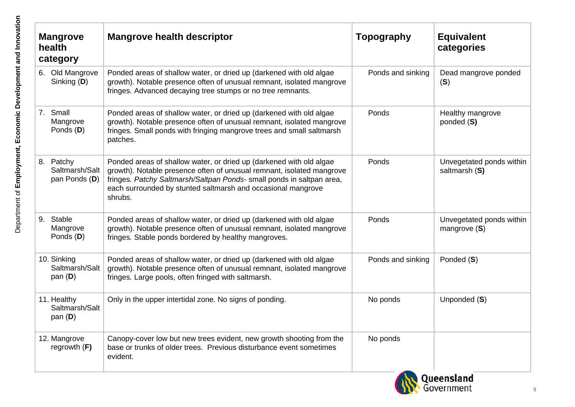|    | <b>Mangrove</b><br>health<br>category        | <b>Mangrove health descriptor</b>                                                                                                                                                                                                                                                                | Topography        | <b>Equivalent</b><br>categories            |
|----|----------------------------------------------|--------------------------------------------------------------------------------------------------------------------------------------------------------------------------------------------------------------------------------------------------------------------------------------------------|-------------------|--------------------------------------------|
| 6. | Old Mangrove<br>Sinking (D)                  | Ponded areas of shallow water, or dried up (darkened with old algae<br>growth). Notable presence often of unusual remnant, isolated mangrove<br>fringes. Advanced decaying tree stumps or no tree remnants.                                                                                      | Ponds and sinking | Dead mangrove ponded<br>(S)                |
|    | 7. Small<br>Mangrove<br>Ponds (D)            | Ponded areas of shallow water, or dried up (darkened with old algae<br>growth). Notable presence often of unusual remnant, isolated mangrove<br>fringes. Small ponds with fringing mangrove trees and small saltmarsh<br>patches.                                                                | Ponds             | Healthy mangrove<br>ponded (S)             |
|    | 8. Patchy<br>Saltmarsh/Salt<br>pan Ponds (D) | Ponded areas of shallow water, or dried up (darkened with old algae<br>growth). Notable presence often of unusual remnant, isolated mangrove<br>fringes. Patchy Saltmarsh/Saltpan Ponds- small ponds in saltpan area,<br>each surrounded by stunted saltmarsh and occasional mangrove<br>shrubs. | Ponds             | Unvegetated ponds within<br>saltmarsh (S)  |
|    | 9. Stable<br>Mangrove<br>Ponds (D)           | Ponded areas of shallow water, or dried up (darkened with old algae<br>growth). Notable presence often of unusual remnant, isolated mangrove<br>fringes. Stable ponds bordered by healthy mangroves.                                                                                             | Ponds             | Unvegetated ponds within<br>mangrove $(S)$ |
|    | 10. Sinking<br>Saltmarsh/Salt<br>pan $(D)$   | Ponded areas of shallow water, or dried up (darkened with old algae<br>growth). Notable presence often of unusual remnant, isolated mangrove<br>fringes. Large pools, often fringed with saltmarsh.                                                                                              | Ponds and sinking | Ponded (S)                                 |
|    | 11. Healthy<br>Saltmarsh/Salt<br>pan $(D)$   | Only in the upper intertidal zone. No signs of ponding.                                                                                                                                                                                                                                          | No ponds          | Unponded (S)                               |
|    | 12. Mangrove<br>regrowth $(F)$               | Canopy-cover low but new trees evident, new growth shooting from the<br>base or trunks of older trees. Previous disturbance event sometimes<br>evident.                                                                                                                                          | No ponds          |                                            |